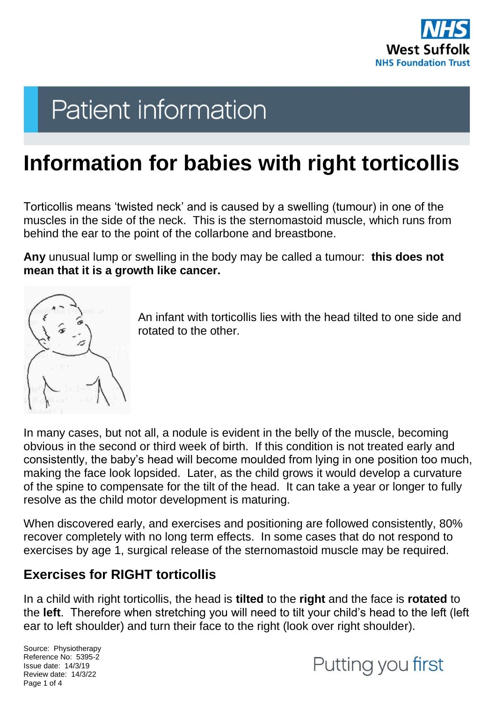

# **Patient information**

# **Information for babies with right torticollis**

Torticollis means 'twisted neck' and is caused by a swelling (tumour) in one of the muscles in the side of the neck. This is the sternomastoid muscle, which runs from behind the ear to the point of the collarbone and breastbone.

**Any** unusual lump or swelling in the body may be called a tumour: **this does not mean that it is a growth like cancer.**



An infant with torticollis lies with the head tilted to one side and rotated to the other.

In many cases, but not all, a nodule is evident in the belly of the muscle, becoming obvious in the second or third week of birth. If this condition is not treated early and consistently, the baby's head will become moulded from lying in one position too much, making the face look lopsided. Later, as the child grows it would develop a curvature of the spine to compensate for the tilt of the head. It can take a year or longer to fully resolve as the child motor development is maturing.

When discovered early, and exercises and positioning are followed consistently, 80% recover completely with no long term effects. In some cases that do not respond to exercises by age 1, surgical release of the sternomastoid muscle may be required.

# **Exercises for RIGHT torticollis**

In a child with right torticollis, the head is **tilted** to the **right** and the face is **rotated** to the **left**. Therefore when stretching you will need to tilt your child's head to the left (left ear to left shoulder) and turn their face to the right (look over right shoulder).

Source: Physiotherapy Reference No: 5395-2 Issue date: 14/3/19 Review date: 14/3/22 Page 1 of 4

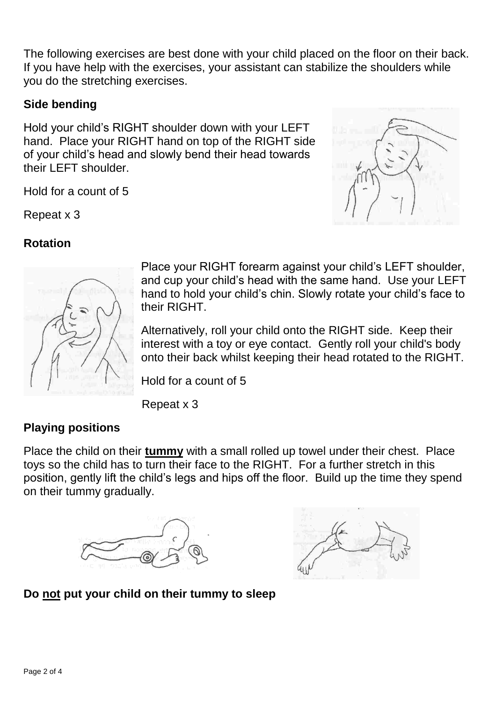The following exercises are best done with your child placed on the floor on their back. If you have help with the exercises, your assistant can stabilize the shoulders while you do the stretching exercises.

#### **Side bending**

Hold your child's RIGHT shoulder down with your LEFT hand. Place your RIGHT hand on top of the RIGHT side of your child's head and slowly bend their head towards their LEFT shoulder.

Hold for a count of 5

Repeat x 3





Place your RIGHT forearm against your child's LEFT shoulder, and cup your child's head with the same hand. Use your LEFT hand to hold your child's chin. Slowly rotate your child's face to their RIGHT.

Alternatively, roll your child onto the RIGHT side. Keep their interest with a toy or eye contact. Gently roll your child's body onto their back whilst keeping their head rotated to the RIGHT.

Hold for a count of 5

Repeat x 3

#### **Playing positions**

Place the child on their **tummy** with a small rolled up towel under their chest. Place toys so the child has to turn their face to the RIGHT. For a further stretch in this position, gently lift the child's legs and hips off the floor. Build up the time they spend on their tummy gradually.





#### **Do not put your child on their tummy to sleep**

**Rotation**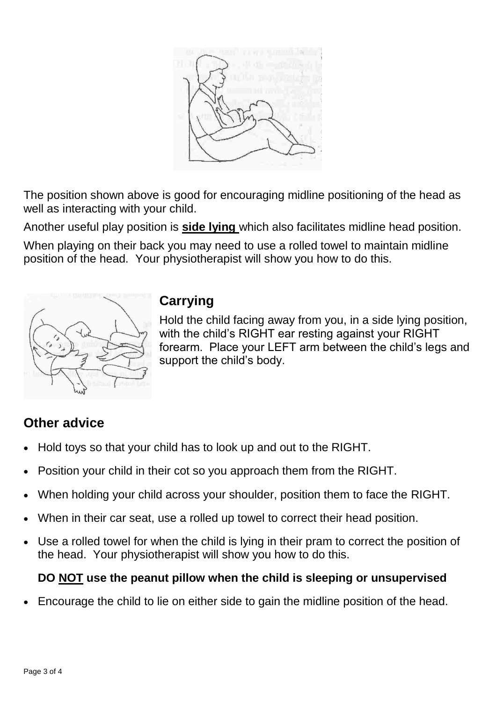

The position shown above is good for encouraging midline positioning of the head as well as interacting with your child.

Another useful play position is **side lying** which also facilitates midline head position.

When playing on their back you may need to use a rolled towel to maintain midline position of the head. Your physiotherapist will show you how to do this.



### **Carrying**

Hold the child facing away from you, in a side lying position, with the child's RIGHT ear resting against your RIGHT forearm. Place your LEFT arm between the child's legs and support the child's body.

# **Other advice**

- Hold toys so that your child has to look up and out to the RIGHT.
- Position your child in their cot so you approach them from the RIGHT.
- When holding your child across your shoulder, position them to face the RIGHT.
- When in their car seat, use a rolled up towel to correct their head position.
- Use a rolled towel for when the child is lying in their pram to correct the position of the head. Your physiotherapist will show you how to do this.

#### **DO NOT use the peanut pillow when the child is sleeping or unsupervised**

Encourage the child to lie on either side to gain the midline position of the head.